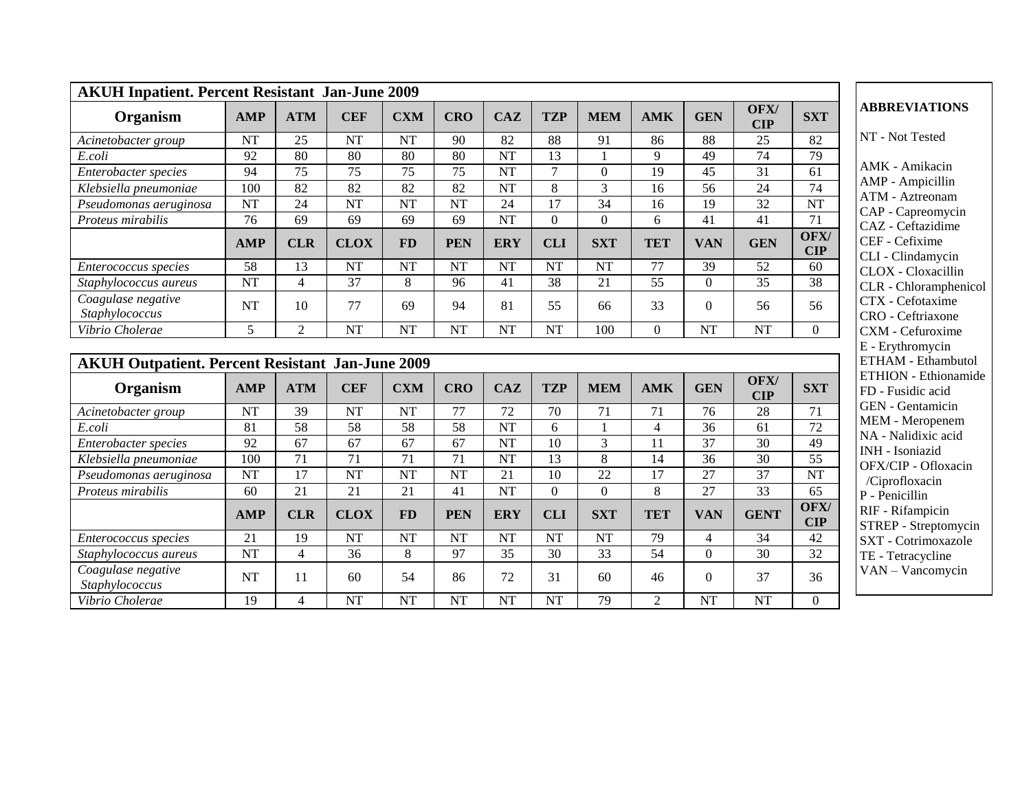| <b>AKUH Inpatient. Percent Resistant Jan-June 2009</b>              |                 |                 |                 |                 |                 |                        |                  |                 |                 |                |                 |                        |                                                                    |
|---------------------------------------------------------------------|-----------------|-----------------|-----------------|-----------------|-----------------|------------------------|------------------|-----------------|-----------------|----------------|-----------------|------------------------|--------------------------------------------------------------------|
| Organism                                                            | <b>AMP</b>      | <b>ATM</b>      | <b>CEF</b>      | <b>CXM</b>      | <b>CRO</b>      | <b>CAZ</b>             | <b>TZP</b>       | <b>MEM</b>      | <b>AMK</b>      | <b>GEN</b>     | OFX/<br>CIP     | <b>SXT</b>             | <b>ABBREVIATIONS</b>                                               |
| Acinetobacter group                                                 | <b>NT</b>       | 25              | <b>NT</b>       | <b>NT</b>       | 90              | 82                     | 88               | 91              | 86              | 88             | $\overline{25}$ | 82                     | NT - Not Tested                                                    |
| E.coli                                                              | 92              | 80              | 80              | 80              | 80              | <b>NT</b>              | 13               | $\mathbf{1}$    | 9               | 49             | 74              | 79                     |                                                                    |
| Enterobacter species                                                | 94              | $\overline{75}$ | $\overline{75}$ | 75              | $\overline{75}$ | <b>NT</b>              | 7                | $\overline{0}$  | 19              | 45             | $\overline{31}$ | 61                     | AMK - Amikacin                                                     |
| Klebsiella pneumoniae                                               | 100             | 82              | $\overline{82}$ | 82              | $\overline{82}$ | <b>NT</b>              | 8                | 3               | 16              | 56             | 24              | 74                     | AMP - Ampicillin<br><b>ATM</b> - Aztreonam                         |
| Pseudomonas aeruginosa                                              | <b>NT</b>       | 24              | <b>NT</b>       | NT              | <b>NT</b>       | 24                     | 17               | $\overline{34}$ | 16              | 19             | $\overline{32}$ | NT                     | CAP - Capreomycin                                                  |
| Proteus mirabilis                                                   | 76              | 69              | 69              | 69              | 69              | <b>NT</b>              | $\boldsymbol{0}$ | $\mathbf{0}$    | 6               | 41             | 41              | 71                     | CAZ - Ceftazidime                                                  |
|                                                                     | <b>AMP</b>      | <b>CLR</b>      | <b>CLOX</b>     | <b>FD</b>       | <b>PEN</b>      | <b>ERY</b>             | <b>CLI</b>       | <b>SXT</b>      | <b>TET</b>      | <b>VAN</b>     | <b>GEN</b>      | OFX/<br>$\mathbf{CIP}$ | CEF - Cefixime<br>CLI - Clindamycin                                |
| Enterococcus species                                                | 58              | 13              | <b>NT</b>       | <b>NT</b>       | <b>NT</b>       | <b>NT</b>              | <b>NT</b>        | <b>NT</b>       | 77              | 39             | $\overline{52}$ | 60                     | CLOX - Cloxacillin                                                 |
| Staphylococcus aureus                                               | <b>NT</b>       | $\overline{4}$  | 37              | 8               | 96              | 41                     | 38               | 21              | 55              | $\overline{0}$ | $\overline{35}$ | 38                     | CLR - Chlorampheni                                                 |
| Coagulase negative<br>Staphylococcus                                | <b>NT</b>       | 10              | 77              | 69              | 94              | 81                     | 55               | 66              | 33              | $\Omega$       | 56              | 56                     | CTX - Cefotaxime<br>CRO - Ceftriaxone                              |
| Vibrio Cholerae                                                     | 5               | $\overline{2}$  | <b>NT</b>       | <b>NT</b>       | <b>NT</b>       | <b>NT</b>              | <b>NT</b>        | 100             | $\Omega$        | <b>NT</b>      | <b>NT</b>       | $\overline{0}$         | CXM - Cefuroxime                                                   |
| <b>AKUH Outpatient. Percent Resistant Jan-June 2009</b><br>Organism | <b>AMP</b>      | <b>ATM</b>      | <b>CEF</b>      | <b>CXM</b>      | <b>CRO</b>      | <b>CAZ</b>             | <b>TZP</b>       | <b>MEM</b>      | <b>AMK</b>      | <b>GEN</b>     | OFX/<br>CIP     | <b>SXT</b>             | ETHAM - Ethambuto<br><b>ETHION</b> - Ethionam<br>FD - Fusidic acid |
| Acinetobacter group                                                 | <b>NT</b>       | 39              | <b>NT</b>       | <b>NT</b>       | 77              | 72                     | 70               | 71              | 71              | 76             | 28              | 71                     | GEN - Gentamicin                                                   |
| E.coli                                                              | 81              | $\overline{58}$ | 58              | 58              | $\overline{58}$ | $\overline{\text{NT}}$ | 6                |                 | $\overline{4}$  | 36             | $\overline{61}$ | $\overline{72}$        | MEM - Meropenem                                                    |
| Enterobacter species                                                | $\overline{92}$ | 67              | 67              | 67              | 67              | <b>NT</b>              | 10               | $\overline{3}$  | 11              | 37             | $\overline{30}$ | 49                     | NA - Nalidixic acid                                                |
| Klebsiella pneumoniae                                               | 100             | 71              | $\overline{71}$ | $\overline{71}$ | $\overline{71}$ | <b>NT</b>              | 13               | 8               | 14              | 36             | $\overline{30}$ | $\overline{55}$        | INH - Isoniazid<br>OFX/CIP - Ofloxacin                             |
| Pseudomonas aeruginosa                                              | <b>NT</b>       | 17              | <b>NT</b>       | NT              | <b>NT</b>       | 21                     | 10               | 22              | 17              | 27             | 37              | <b>NT</b>              | /Ciprofloxacin                                                     |
| Proteus mirabilis                                                   | 60              | $\overline{21}$ | 21              | 21              | 41              | $\overline{\text{NT}}$ | $\boldsymbol{0}$ | $\mathbf{0}$    | 8               | 27             | $\overline{33}$ | 65                     | P - Penicillin                                                     |
|                                                                     | <b>AMP</b>      | <b>CLR</b>      | <b>CLOX</b>     | <b>FD</b>       | <b>PEN</b>      | <b>ERY</b>             | <b>CLI</b>       | <b>SXT</b>      | <b>TET</b>      | <b>VAN</b>     | <b>GENT</b>     | OFX/<br><b>CIP</b>     | RIF - Rifampicin<br>STREP - Streptomyci                            |
| Enterococcus species                                                | 21              | 19              | <b>NT</b>       | NT              | <b>NT</b>       | <b>NT</b>              | <b>NT</b>        | <b>NT</b>       | 79              | $\overline{4}$ | 34              | 42                     | SXT - Cotrimoxazole                                                |
| Staphylococcus aureus                                               | <b>NT</b>       | $\overline{4}$  | 36              | 8               | $\overline{97}$ | $\overline{35}$        | 30               | $\overline{33}$ | $\overline{54}$ | $\Omega$       | $\overline{30}$ | 32                     | TE - Tetracycline                                                  |
| Coagulase negative<br>Staphylococcus                                | <b>NT</b>       | 11              | 60              | 54              | 86              | 72                     | 31               | 60              | 46              | $\Omega$       | 37              | 36                     | VAN - Vancomycin                                                   |
| Vibrio Cholerae                                                     | 19              | $\overline{4}$  | <b>NT</b>       | NT              | <b>NT</b>       | <b>NT</b>              | <b>NT</b>        | 79              | $\overline{2}$  | <b>NT</b>      | <b>NT</b>       | $\boldsymbol{0}$       |                                                                    |

 $\mathop{\mathrm{in}}$  $\sin$ am ycin me cin illin phenicol me <sub>ne</sub> ime - Erythromycin mbutol onamide  $id$ cin nem acid xacin RIF - Rifampicin STREP - Streptomycin - Cotrimoxazole  $\mathbf{e}$ iycin